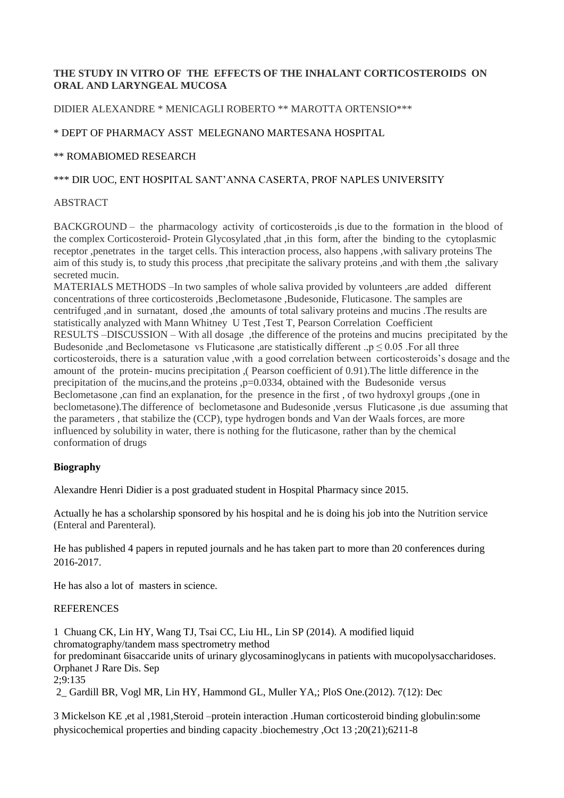# **THE STUDY IN VITRO OF THE EFFECTS OF THE INHALANT CORTICOSTEROIDS ON ORAL AND LARYNGEAL MUCOSA**

# DIDIER ALEXANDRE \* MENICAGLI ROBERTO \*\* MAROTTA ORTENSIO\*\*\*

# \* DEPT OF PHARMACY ASST MELEGNANO MARTESANA HOSPITAL

### \*\* ROMABIOMED RESEARCH

### \*\*\* DIR UOC, ENT HOSPITAL SANT'ANNA CASERTA, PROF NAPLES UNIVERSITY

### ABSTRACT

BACKGROUND – the pharmacology activity of corticosteroids, is due to the formation in the blood of the complex Corticosteroid- Protein Glycosylated ,that ,in this form, after the binding to the cytoplasmic receptor ,penetrates in the target cells. This interaction process, also happens ,with salivary proteins The aim of this study is, to study this process ,that precipitate the salivary proteins ,and with them ,the salivary secreted mucin.

MATERIALS METHODS –In two samples of whole saliva provided by volunteers , are added different concentrations of three corticosteroids ,Beclometasone ,Budesonide, Fluticasone. The samples are centrifuged ,and in surnatant, dosed ,the amounts of total salivary proteins and mucins .The results are statistically analyzed with Mann Whitney U Test ,Test T, Pearson Correlation Coefficient RESULTS –DISCUSSION – With all dosage ,the difference of the proteins and mucins precipitated by the Budesonide ,and Beclometasone vs Fluticasone ,are statistically different ., $p \le 0.05$  . For all three corticosteroids, there is a saturation value ,with a good correlation between corticosteroids's dosage and the amount of the protein- mucins precipitation ,( Pearson coefficient of 0.91).The little difference in the precipitation of the mucins,and the proteins ,p=0.0334, obtained with the Budesonide versus Beclometasone ,can find an explanation, for the presence in the first , of two hydroxyl groups ,(one in beclometasone).The difference of beclometasone and Budesonide ,versus Fluticasone ,is due assuming that the parameters , that stabilize the (CCP), type hydrogen bonds and Van der Waals forces, are more influenced by solubility in water, there is nothing for the fluticasone, rather than by the chemical conformation of drugs

### **Biography**

Alexandre Henri Didier is a post graduated student in Hospital Pharmacy since 2015.

Actually he has a scholarship sponsored by his hospital and he is doing his job into the Nutrition service (Enteral and Parenteral).

He has published 4 papers in reputed journals and he has taken part to more than 20 conferences during 2016-2017.

He has also a lot of masters in science.

#### **REFERENCES**

1 Chuang CK, Lin HY, Wang TJ, Tsai CC, Liu HL, Lin SP (2014). A modified liquid chromatography/tandem mass spectrometry method for predominant 6isaccaride units of urinary glycosaminoglycans in patients with mucopolysaccharidoses. Orphanet J Rare Dis. Sep 2;9:135 2\_ Gardill BR, Vogl MR, Lin HY, Hammond GL, Muller YA,; PloS One.(2012). 7(12): Dec

3 Mickelson KE ,et al ,1981,Steroid –protein interaction .Human corticosteroid binding globulin:some physicochemical properties and binding capacity .biochemestry ,Oct 13 ;20(21);6211-8